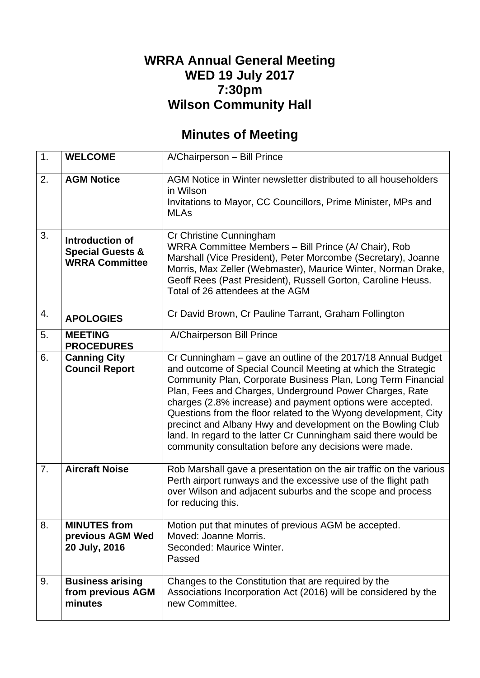## **WRRA Annual General Meeting WED 19 July 2017 7:30pm Wilson Community Hall**

## **Minutes of Meeting**

| 1.               | <b>WELCOME</b>                                                          | A/Chairperson - Bill Prince                                                                                                                                                                                                                                                                                                                                                                                                                                                                                                                                                           |
|------------------|-------------------------------------------------------------------------|---------------------------------------------------------------------------------------------------------------------------------------------------------------------------------------------------------------------------------------------------------------------------------------------------------------------------------------------------------------------------------------------------------------------------------------------------------------------------------------------------------------------------------------------------------------------------------------|
| 2.               | <b>AGM Notice</b>                                                       | AGM Notice in Winter newsletter distributed to all householders<br>in Wilson<br>Invitations to Mayor, CC Councillors, Prime Minister, MPs and<br><b>MLAs</b>                                                                                                                                                                                                                                                                                                                                                                                                                          |
| 3.               | Introduction of<br><b>Special Guests &amp;</b><br><b>WRRA Committee</b> | Cr Christine Cunningham<br>WRRA Committee Members - Bill Prince (A/ Chair), Rob<br>Marshall (Vice President), Peter Morcombe (Secretary), Joanne<br>Morris, Max Zeller (Webmaster), Maurice Winter, Norman Drake,<br>Geoff Rees (Past President), Russell Gorton, Caroline Heuss.<br>Total of 26 attendees at the AGM                                                                                                                                                                                                                                                                 |
| 4.               | <b>APOLOGIES</b>                                                        | Cr David Brown, Cr Pauline Tarrant, Graham Follington                                                                                                                                                                                                                                                                                                                                                                                                                                                                                                                                 |
| 5.               | <b>MEETING</b><br><b>PROCEDURES</b>                                     | A/Chairperson Bill Prince                                                                                                                                                                                                                                                                                                                                                                                                                                                                                                                                                             |
| 6.               | <b>Canning City</b><br><b>Council Report</b>                            | Cr Cunningham - gave an outline of the 2017/18 Annual Budget<br>and outcome of Special Council Meeting at which the Strategic<br>Community Plan, Corporate Business Plan, Long Term Financial<br>Plan, Fees and Charges, Underground Power Charges, Rate<br>charges (2.8% increase) and payment options were accepted.<br>Questions from the floor related to the Wyong development, City<br>precinct and Albany Hwy and development on the Bowling Club<br>land. In regard to the latter Cr Cunningham said there would be<br>community consultation before any decisions were made. |
| $\overline{7}$ . | <b>Aircraft Noise</b>                                                   | Rob Marshall gave a presentation on the air traffic on the various<br>Perth airport runways and the excessive use of the flight path<br>over Wilson and adjacent suburbs and the scope and process<br>for reducing this.                                                                                                                                                                                                                                                                                                                                                              |
| 8.               | <b>MINUTES from</b><br>previous AGM Wed<br>20 July, 2016                | Motion put that minutes of previous AGM be accepted.<br>Moved: Joanne Morris.<br>Seconded: Maurice Winter.<br>Passed                                                                                                                                                                                                                                                                                                                                                                                                                                                                  |
| 9.               | <b>Business arising</b><br>from previous AGM<br>minutes                 | Changes to the Constitution that are required by the<br>Associations Incorporation Act (2016) will be considered by the<br>new Committee.                                                                                                                                                                                                                                                                                                                                                                                                                                             |